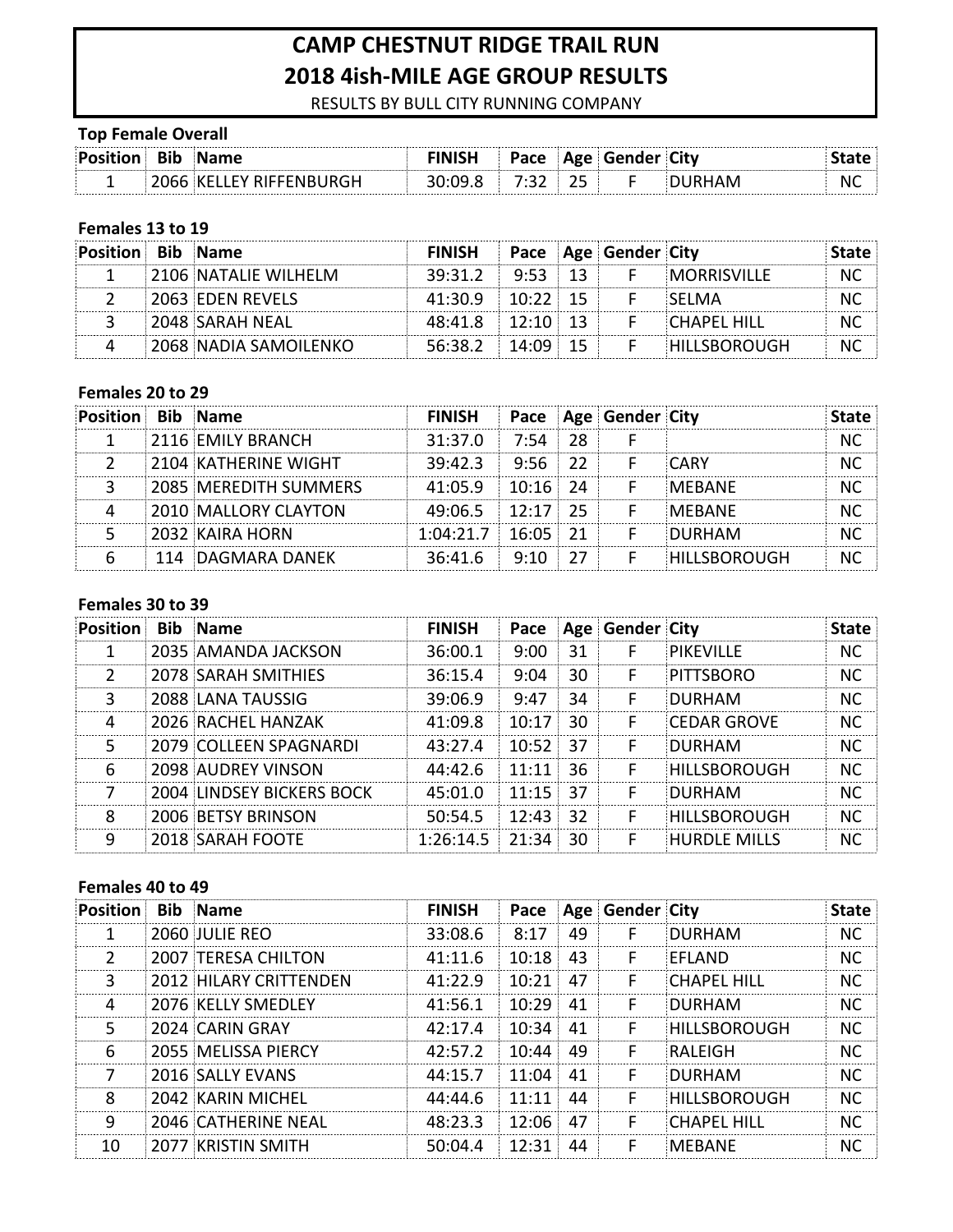# **CAMP CHESTNUT RIDGE TRAIL RUN 2018 4ish-MILE AGE GROUP RESULTS**

RESULTS BY BULL CITY RUNNING COMPANY

## **Top Female Overall**

| Position Bib Name |                        |  | <b>Pace Age Gender City</b> |    |
|-------------------|------------------------|--|-----------------------------|----|
|                   | 066 KFLLFY RIFFFNBURGH |  | $2.098$ $7.32$ $25$ F       | N0 |

### **Females 13 to 19**

| Position Bib Name |                             | <b>FINISH</b>        |  | Pace Age Gender City |                     | Tate - |
|-------------------|-----------------------------|----------------------|--|----------------------|---------------------|--------|
|                   | <b>2106 NATALIF WILHFLM</b> | $39:31.2$ $9:53$ 13  |  |                      | MORRISVILLE         | NC     |
|                   | <b>2063 EDEN REVELS</b>     | $41:30.9$ $10:22$ 15 |  |                      | <b>SELMA</b>        |        |
|                   | E2048 SARAH NEAL            | $48:41.8$ $12:10$ 13 |  |                      | <b>CHAPFL HILL</b>  | N0     |
|                   | 2068 NADIA SAMOILENKO       | $56:38.2$ $14:09$ 15 |  |                      | <b>HILLSBOROUGH</b> |        |

#### Females 20 to 29

| <b>Position Bib Name</b> |                       | <b>FINISH</b>        |            |    | Pace Age Gender City |               |  |
|--------------------------|-----------------------|----------------------|------------|----|----------------------|---------------|--|
|                          | 2116 EMILY BRANCH     | 31:37.0              | 7.54 L     | 28 |                      |               |  |
|                          | 2104 KATHERINE WIGHT  | $39:42.3$ $9:56$ 22  |            |    |                      | <b>CARY</b>   |  |
|                          | 2085 MEREDITH SUMMERS | 41:05.9              | $10:16$ 24 |    |                      | <b>MERANE</b> |  |
|                          | 2010 MALLORY CLAYTON  | 49:06.5 12:17 25     |            |    |                      | <b>MEBANE</b> |  |
|                          | 2032 KAIRA HORN       | $1:04:21.7$ 16:05 21 |            |    |                      | DURHAM        |  |
|                          | 114 DAGMARA DANEK     | 36:41.6              | 9:10       |    |                      | HILLSBOROUGH  |  |

#### Females 30 to 39

| <b>Position</b> | <b>Bib Name</b>                  | <b>FINISH</b> |                  |    | Pace Age Gender City |                     | State     |
|-----------------|----------------------------------|---------------|------------------|----|----------------------|---------------------|-----------|
|                 | 2035 AMANDA JACKSON              | 36:00.1       | 9:00             | 31 |                      | PIKFVILLF           | <b>NC</b> |
| $\mathcal{P}$   | <b>2078 SARAH SMITHIES</b>       | 36:15.4       | 9:04             | 30 | F                    | PITTSBORO           | NС        |
| 3               | 2088 LANA TAUSSIG                | 39:06.9       | 9:47             | 34 | F                    | <b>DURHAM</b>       | <b>NC</b> |
| 4               | 2026 RACHEL HANZAK               | 41:09.8       | 10:17            | 30 | F                    | <b>CEDAR GROVE</b>  | NС        |
| 5               | 2079 COLLEEN SPAGNARDI           | 43:27.4       | $10:52$ 37       |    | F                    | DURHAM              | <b>NC</b> |
| 6               | <b>2098 AUDREY VINSON</b>        | 44:42.6       | 11:11:           | 36 | F                    | HILLSBOROUGH        | NС        |
|                 | <b>2004 LINDSEY BICKERS BOCK</b> | 45:01.0       | $11:15 \quad 37$ |    | F                    | DURHAM              | NС        |
| 8               | 2006 BETSY BRINSON               | 50:54.5       | 12:43 32         |    | F                    | <b>HILLSBOROUGH</b> | NС        |
| q               | <b>2018 SARAH FOOTE</b>          | 1:26:14.5     | 21:34            | 30 | F                    | <b>HURDLE MILLS</b> | NС        |

#### Females 40 to 49

| <b>Position</b> | <b>Bib</b> Name            | <b>FINISH</b> |       |    | Pace Age Gender City |                     | <b>State</b> |
|-----------------|----------------------------|---------------|-------|----|----------------------|---------------------|--------------|
|                 | 2060 JULIF RFO             | 33:08.6       | 8:17  | 49 | F                    | DURHAM              | NС           |
| 2               | <b>2007 TERESA CHILTON</b> | 41:11.6       | 10:18 | 43 |                      | FFLAND              | NC.          |
| 3               | 2012 HILARY CRITTENDEN     | 41:22.9       | 10:21 | 47 | F                    | <b>CHAPFL HILL</b>  | NC.          |
| 4               | 2076 KFLLY SMFDLFY         | 41:56.1       | 10:29 | 41 | F                    | <b>DURHAM</b>       | NС           |
| 5               | 2024 CARIN GRAY            | 42:17.4       | 10:34 | 41 | F                    | <b>HILLSBOROUGH</b> | NС           |
| 6               | 2055 MELISSA PIERCY        | 42:57.2       | 10:44 | 49 | F                    | <b>RAIFIGH</b>      | NC.          |
| 7               | 2016 SALLY EVANS           | 44:15.7       | 11:04 | 41 | F                    | <b>DURHAM</b>       | NC.          |
| 8               | 2042 KARIN MICHEL          | 44:44.6       | 11:11 | 44 | F                    | <b>HILLSBOROUGH</b> | NC.          |
| q               | 2046 CATHERINE NEAL        | 48:23.3       | 12:06 | 47 | F                    | <b>CHAPFL HILL</b>  | NC.          |
| 10              | 2077 KRISTIN SMITH         | 50:04.4       | 12:31 | 44 |                      | MFRANF              |              |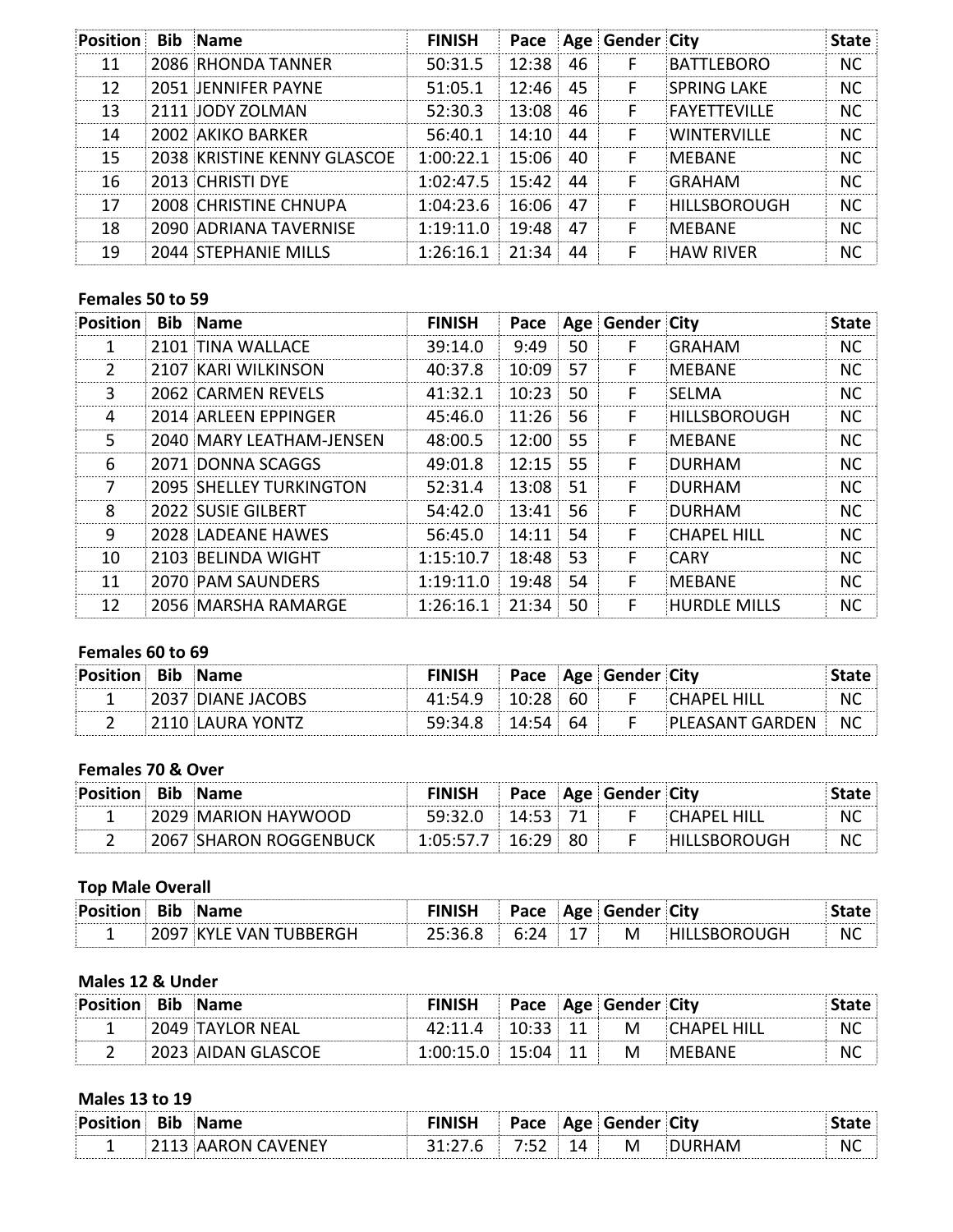| <b>Position</b> | <b>Bib</b> Name             | <b>FINISH</b>     |          |    | Pace Age Gender City |                     | <b>State</b> |
|-----------------|-----------------------------|-------------------|----------|----|----------------------|---------------------|--------------|
| 11              | 2086 RHONDA TANNER          | 50:31.5           | 12:38    | 46 | F                    | <b>BATTLFBORO</b>   | NC.          |
| 12              | 2051 JENNIFER PAYNE         | 51:05.1           | 12:46    | 45 | F                    | <b>SPRING LAKE</b>  | NC.          |
| 13              | 2111 JODY ZOLMAN            | 52:30.3           | 13:08    | 46 | F                    | <b>FAYFTTFVILLF</b> | NC.          |
| 14              | 2002 AKIKO BARKER           | 56:40.1           | 14:10    | 44 | F.                   | <b>WINTFRVILLF</b>  | NС           |
| 15              | 2038 KRISTINE KENNY GLASCOE | 1:00:22.1         | 15:06 1  | 40 | F                    | MEBANE              | NC.          |
| 16              | <b>2013 CHRISTI DYE</b>     | $1:02:47.5$ 15:42 |          | 44 | F                    | GRAHAM              | NC.          |
| 17              | 2008 CHRISTINE CHNUPA       | 1:04:23.6         | 16:06 47 |    |                      | HILLSBOROUGH        | <b>NC</b>    |
| 18              | 2090 ADRIANA TAVERNISE      | 1:19:11.0         | 19:48    | 47 | F                    | <b>MEBANE</b>       | NC.          |
| 19              | 2044 STEPHANIE MILLS        | 1:26:16.1         | 21:34    | 44 | F                    | <b>HAW RIVER</b>    | NC.          |

## Females 50 to 59

| <b>Position</b> | <b>Bib</b> Name                | <b>FINISH</b> | Pace  |    | Age Gender City |                     | <b>State</b> |
|-----------------|--------------------------------|---------------|-------|----|-----------------|---------------------|--------------|
| 1               | 2101 TINA WALLACE              | 39:14.0       | 9:49  | 50 | F               | GRAHAM              | NC.          |
| $\mathcal{L}$   | 2107 KARI WILKINSON            | 40:37.8       | 10:09 | 57 | F               | <b>MFBANF</b>       | NС           |
| 3               | 2062 CARMEN REVELS             | 41:32.1       | 10:23 | 50 | F               | <b>SELMA</b>        | NС           |
| 4               | 2014 ARLEEN EPPINGER           | 45:46.0       | 11:26 | 56 | F               | HILLSBOROUGH        | <b>NC</b>    |
| 5               | 2040 MARY LEATHAM-JENSEN       | 48:00.5       | 12:00 | 55 | F               | <b>MFBANF</b>       | NC.          |
| 6               | 2071 DONNA SCAGGS              | 49:01.8       | 12:15 | 55 | F               | DURHAM              | NC.          |
| 7               | <b>2095 SHELLEY TURKINGTON</b> | 52:31.4       | 13:08 | 51 | F               | DURHAM              | <b>NC</b>    |
| 8               | 2022 SUSIE GILBERT             | 54:42.0       | 13:41 | 56 | F               | DURHAM              | <b>NC</b>    |
| 9               | 2028 LADFANF HAWFS             | 56:45.0       | 14:11 | 54 | F               | CHAPFL HILL         | <b>NC</b>    |
| 10              | 2103 BELINDA WIGHT             | 1:15:10.7     | 18:48 | 53 | F               | CARY                | <b>NC</b>    |
| 11              | 2070 PAM SAUNDERS              | 1:19:11.0     | 19:48 | 54 | F               | <b>MEBANE</b>       | NC.          |
| 12              | 2056 MARSHA RAMARGE            | 1:26:16.1     | 21:34 | 50 | F               | <b>HURDLE MILLS</b> | NС           |

# Females 60 to 69

| :Pos | <b>Name</b> | Pace |      | <b>Age Gender City</b> | --------- |
|------|-------------|------|------|------------------------|-----------|
|      | JACOBS      |      | 60 - |                        |           |
| .    |             |      |      |                        | <b>NC</b> |

## Females 70 & Over

| <b>Position Bib Name</b> |                               | <b>FINISH</b>          |  | Pace Age Gender City |                     |           |
|--------------------------|-------------------------------|------------------------|--|----------------------|---------------------|-----------|
|                          | 2029 MARION HAYWOOD           | $59:32.0$ 14:53 71     |  |                      | <b>CHAPFL HILL</b>  | NC.       |
|                          | <b>2067 SHARON ROGGENBUCK</b> | $1:05:57.7$ $16:29$ 80 |  |                      | <b>HILLSBOROUGH</b> | <b>NC</b> |

# **Top Male Overall**

| יהם: | кіп |  |          | <b>AUD</b> .<br>ັ |   |   |    |
|------|-----|--|----------|-------------------|---|---|----|
|      |     |  | <u>.</u> |                   | M | . | N0 |

## **Males 12 & Under**

| <b>Position Bib Name</b> |                    | <b>FINISH</b>            |  | <b>Pace Age Gender City</b> |              |     |
|--------------------------|--------------------|--------------------------|--|-----------------------------|--------------|-----|
|                          | 2049 TAYLOR NEAL   | $42:11.4$ $10:33$ 11 M   |  |                             | CHAPEL HILL! | .NC |
|                          | 2023 AIDAN GLASCOE | $1:00:15.0$ $15:04$ $11$ |  | M                           |              | N0  |

## **Males 13 to 19**

| ки |     | Pace | AσΔ<br>סי | wend | der Citv | ---------- |
|----|-----|------|-----------|------|----------|------------|
|    | 'NF |      | 14        | M    |          | NC         |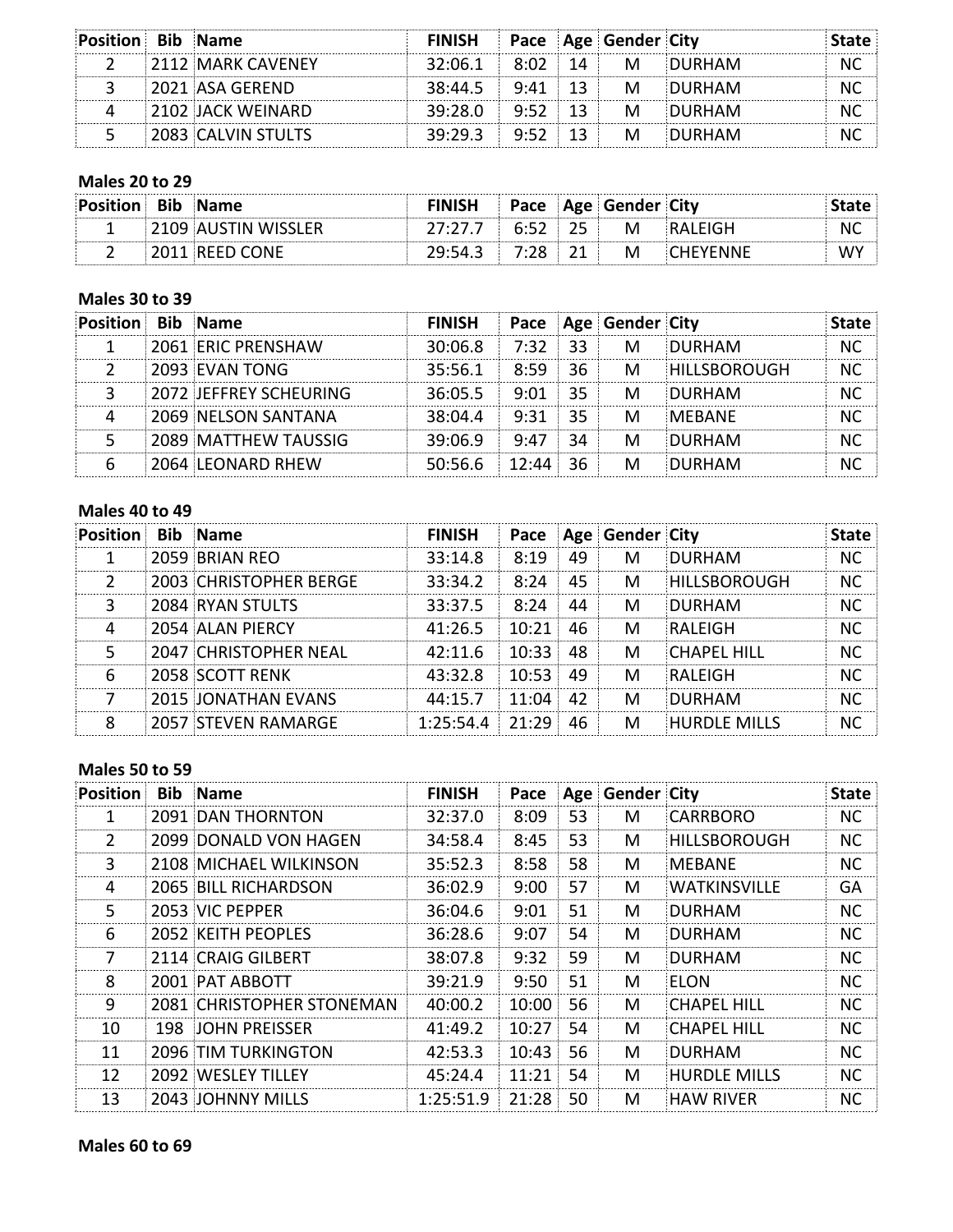| Position Bib Name |                                           | <b>FINISH Pace Age Gender City</b> |  |   |                            |  |
|-------------------|-------------------------------------------|------------------------------------|--|---|----------------------------|--|
|                   | $\parallel$ 2112 $\parallel$ MARK CAVENEY |                                    |  |   | 32:06.1 8:02 14 M DURHAM   |  |
|                   | 2021 ASA GEREND                           |                                    |  |   | $38:44.5$ 9:41 13 M DURHAM |  |
|                   | <b>2102 JACK WEINARD</b>                  | $39:28.0$ $9:52$ 13                |  | M | <b>DURHAM</b>              |  |
|                   | 2083 CALVIN STULTS                        | 39:29.3 9:52 13 M                  |  |   | <b>DURHAM</b>              |  |

# **Males 20 to 29**

| Position Bib Name |                    | <b>FINISH</b>     |        | Pace Age Gender City |                 |      |
|-------------------|--------------------|-------------------|--------|----------------------|-----------------|------|
|                   | 109 AUSTIN WISSLER |                   | 6.52 L | M                    |                 | . NU |
|                   | REED CONE          | 29:54.3 7:28 21 . |        | M                    | <b>CHEYENNE</b> |      |

#### **Males 30 to 39**

| <b>Position</b> | <b>Bib Name</b>               | <b>FINISH</b> |         |    | Pace Age Gender City |                     | itate     |
|-----------------|-------------------------------|---------------|---------|----|----------------------|---------------------|-----------|
|                 | 2061 ERIC PRENSHAW            | 30:06.8       | 7:32 33 |    | M                    | DURHAM              | NC.       |
|                 | 2093 EVAN TONG                | 35:56.1       | 8:59    | 36 | M                    | <b>HILLSBOROUGH</b> | NС        |
|                 | <b>2072 JEFFREY SCHEURING</b> | 36:05.5       | 9.01    | 35 | M                    | <b>DURHAM</b>       | NC        |
|                 | 2069 NELSON SANTANA           | 38:04.4       | 9:31    | 35 | M                    | <b>MEBANE</b>       | ΝC        |
|                 | 2089 MATTHEW TAUSSIG          | 39:06.9       | 9:47    | 34 | M                    | <b>DURHAM</b>       | <b>NC</b> |
|                 | 2064 LEONARD RHEW             | 50:56.6       | 12:44   | 36 | М                    | DURHAM              |           |

#### **Males 40 to 49**

| <b>Position</b> | <b>Bib</b> Name               | <b>FINISH</b> |       |          | Pace   Age   Gender   City |                     | tate |
|-----------------|-------------------------------|---------------|-------|----------|----------------------------|---------------------|------|
|                 | 2059 BRIAN REO                | 33:14.8       | 8:19  | 49       | M                          | DURHAM              | NC.  |
|                 | <b>2003 CHRISTOPHER BERGE</b> | 33:34.2       | 8:24  | 45       | M                          | <b>HILLSBOROUGH</b> | NC.  |
| R               | 2084 RYAN STULTS              | 33:37.5       | 8:24  | 44       | м                          | DURHAM              | NC.  |
| Δ               | 2054 ALAN PIERCY              | 41:26.5       | 10:21 | 46       | M                          | RALFIGH             | NC.  |
| 5               | <b>2047 CHRISTOPHER NEAL</b>  | 42:11.6       | 10:33 | 48       | м                          | <b>CHAPFL HILL</b>  | NC.  |
| 6               | 2058 SCOTT RENK               | 43:32.8       | 10:53 | 49       | м                          | RALFIGH             | NС   |
|                 | <b>2015 JONATHAN EVANS</b>    | 44:15.7       | 11:04 | $\Delta$ | м                          | DURHAM              | NC.  |
| Ջ               | <b>2057 STEVEN RAMARGE</b>    | 1:25:54.4     | 21.29 | 46       | M                          | <b>HURDLF MILLS</b> |      |

#### **Males 50 to 59**

| Position      | <b>Bib</b> Name            | <b>FINISH</b> | Pace  |    | Age Gender City |                     | <b>State</b> |
|---------------|----------------------------|---------------|-------|----|-----------------|---------------------|--------------|
| 1             | <b>2091 DAN THORNTON</b>   | 32:37.0       | 8:09  | 53 | м               | CARRBORO            | NC.          |
| $\mathcal{P}$ | 2099 DONALD VON HAGEN      | 34:58.4       | 8:45  | 53 | M               | HILLSBOROUGH        | <b>NC</b>    |
| 3             | 2108 MICHAEL WILKINSON     | 35:52.3       | 8:58  | 58 | M               | MEBANE              | <b>NC</b>    |
| 4             | 2065 BILL RICHARDSON       | 36:02.9       | 9:00  | 57 | м               | <b>WATKINSVILLE</b> | GA           |
| 5             | 2053 VIC PEPPER            | 36:04.6       | 9:01  | 51 | M               | DURHAM              | NC.          |
| 6             | 2052 KEITH PEOPLES         | 36:28.6       | 9:07  | 54 | M               | DURHAM              | <b>NC</b>    |
| 7             | 2114 CRAIG GILBERT         | 38:07.8       | 9:32  | 59 | м               | DURHAM              | NС           |
| 8             | 2001 PAT ABBOTT            | 39:21.9       | 9:50  | 51 | М               | FLON                | NC.          |
| 9             | 2081 CHRISTOPHER STONEMAN  | 40:00.2       | 10:00 | 56 | М               | CHAPEL HILL         | <b>NC</b>    |
| 10            | 198 JOHN PRFISSER          | 41:49.2       | 10:27 | 54 | M               | <b>CHAPEL HILL</b>  | <b>NC</b>    |
| 11            | <b>2096 TIM TURKINGTON</b> | 42:53.3       | 10:43 | 56 | М               | DURHAM              | NC.          |
| 12            | 2092 WESLEY TILLEY         | 45:24.4       | 11:21 | 54 | M               | <b>HURDLE MILLS</b> | NС           |
| 13            | 2043 JOHNNY MILLS          | 1:25:51.9     | 21:28 | 50 | M               | HAW RIVER!          | NС           |